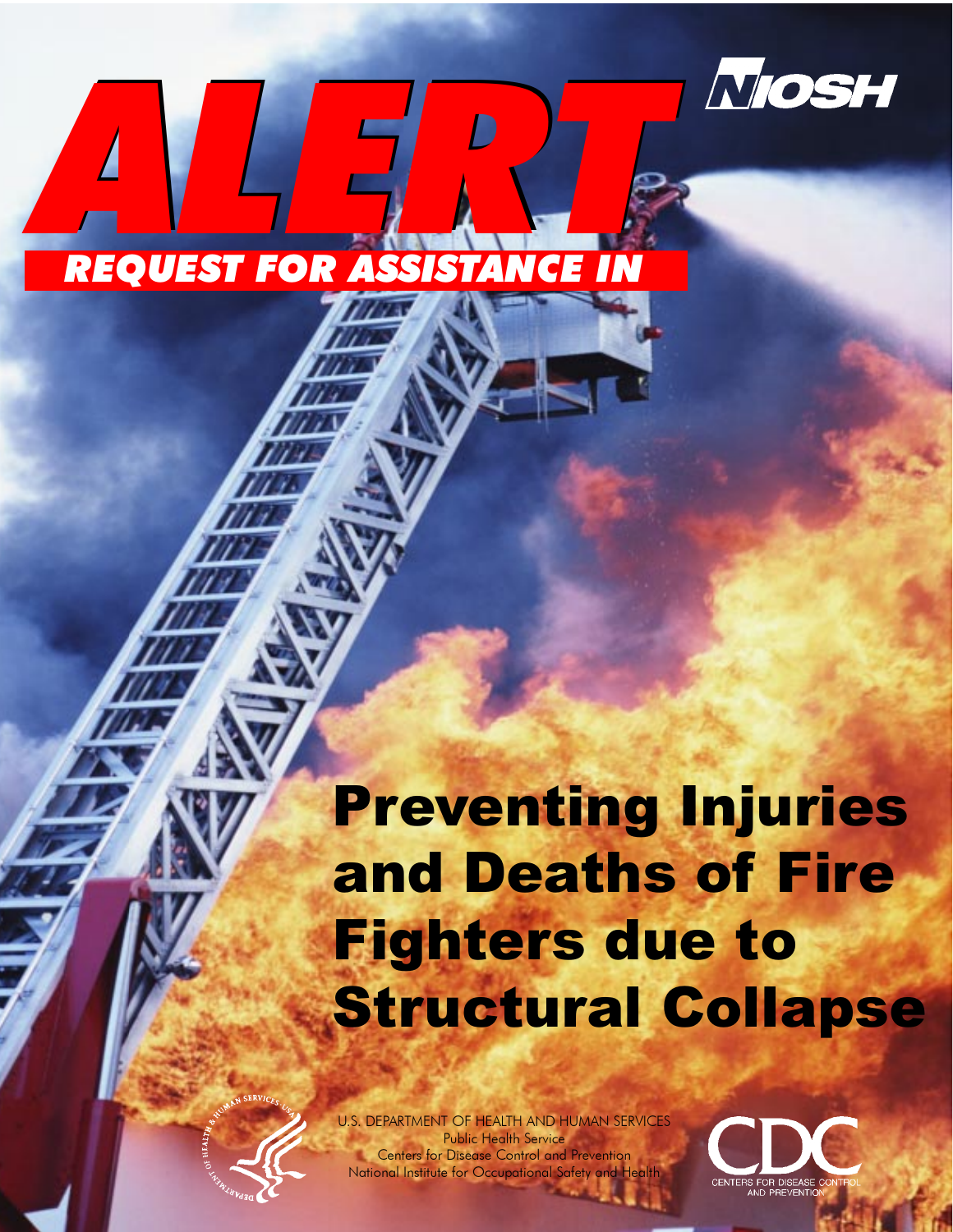

# **ALERED BY A PROVEST FOR ASSISTANCE IN** *ALERT REQUEST FOR ASSISTANCE IN*

## Preventing Injuries and Deaths of Fire Fighters due to Structural Collapse



U.S. DEPARTMENT OF HEALTH AND HUMAN SERVICES Public Health Service Centers for Disease Control and Prevention National Institute for Occupational Safety and Health

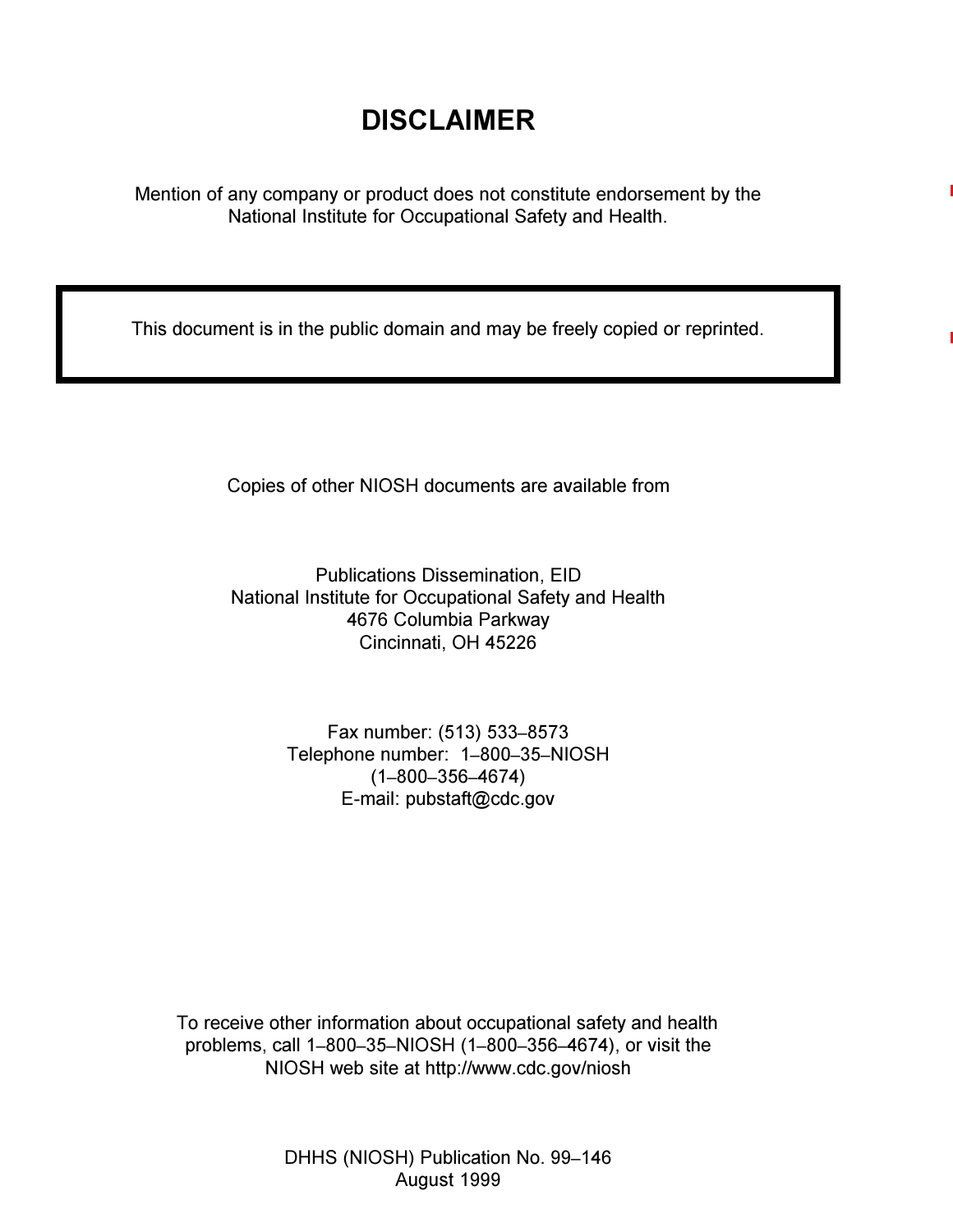### **DISCLAIMER**

Mention of any company or product does not constitute endorsement by the National Institute for Occupational Safety and Health.

This document is in the public domain and may be freely copied or reprinted.

Copies of other NIOSH documents are available from

Publications Dissemination, EID National Institute for Occupational Safety and Health 4676 Columbia Parkway Cincinnati, OH 45226

> Fax number: (513) 533-8573 Telephone number: 1-800-35-NIOSH  $(1 - 800 - 356 - 4674)$ E-mail: pubstaft@cdc.gov

To receive other information about occupational safety and health problems, call  $1-800-35-NIOSH$  (1-800-356-4674), or visit the NIOSH web site at http://www.cdc.gov/niosh

> DHHS (NIOSH) Publication No. 99-146 August 1999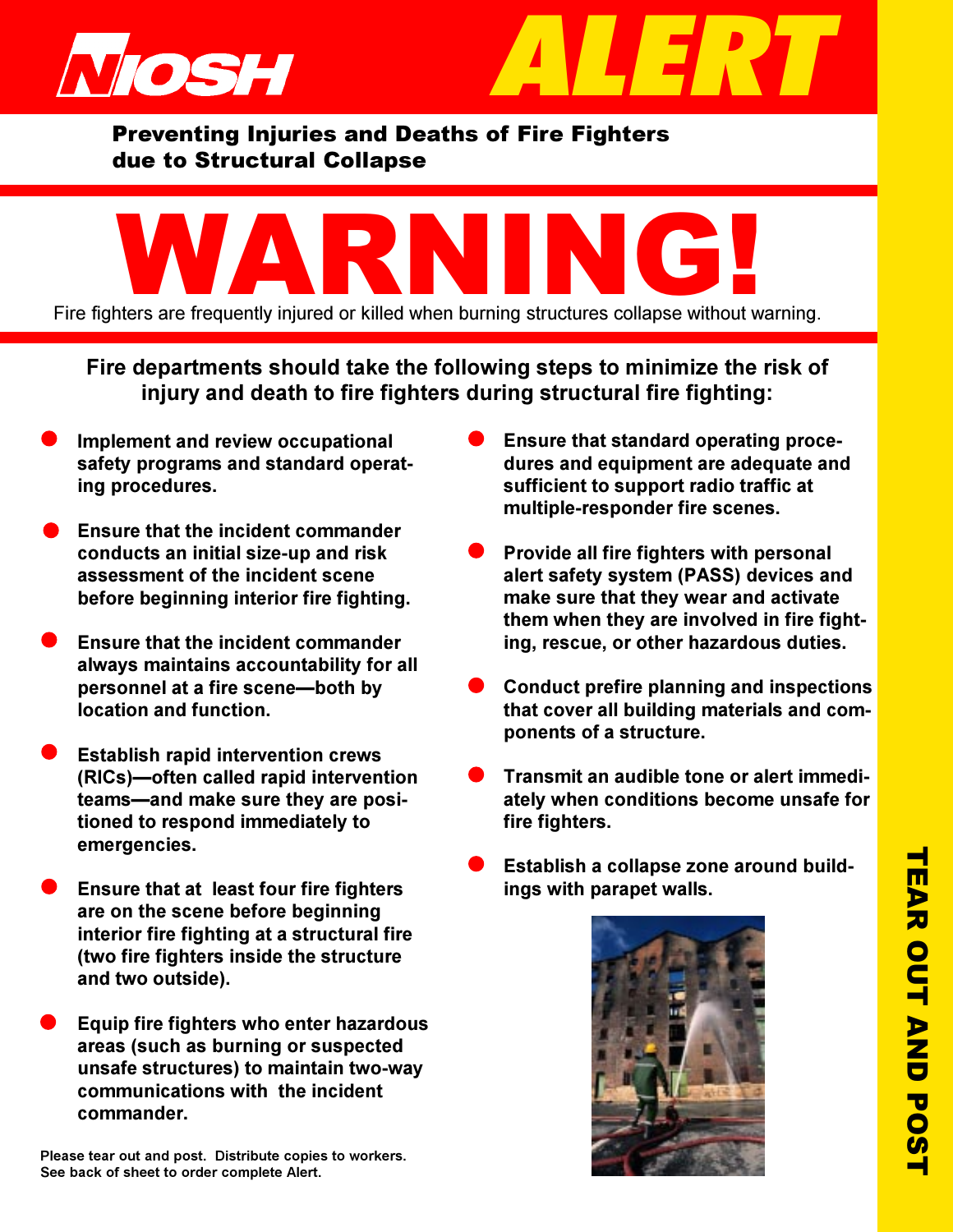



Preventing Injuries and Deaths of Fire Fighters due to Structural Collapse



**Fire departments should take the following steps to minimize the risk of injury and death to fire fighters during structural fire fighting:**

- **Implement and review occupational safety programs and standard operating procedures.**
- **Ensure that the incident commander conducts an initial size-up and risk assessment of the incident scene before beginning interior fire fighting.**
- **Ensure that the incident commander always maintains accountability for all personnel at a fire scene-both by location and function.**
- **Establish rapid intervention crews (RICs)-often called rapid intervention** teams—and make sure they are posi**tioned to respond immediately to emergencies.**
- **Ensure that at least four fire fighters are on the scene before beginning interior fire fighting at a structural fire (two fire fighters inside the structure and two outside).**
- **Equip fire fighters who enter hazardous areas (such as burning or suspected unsafe structures) to maintain two-way communications with the incident commander.**

**Please tear out and post. Distribute copies to workers. See back of sheet to order complete Alert.**

- **Ensure that standard operating procedures and equipment are adequate and sufficient to support radio traffic at multiple-responder fire scenes.**
- **Provide all fire fighters with personal alert safety system (PASS) devices and make sure that they wear and activate them when they are involved in fire fighting, rescue, or other hazardous duties.**
- **Conduct prefire planning and inspections that cover all building materials and components of a structure.**
- **Transmit an audible tone or alert immediately when conditions become unsafe for fire fighters.**
- **Establish a collapse zone around buildings with parapet walls.**

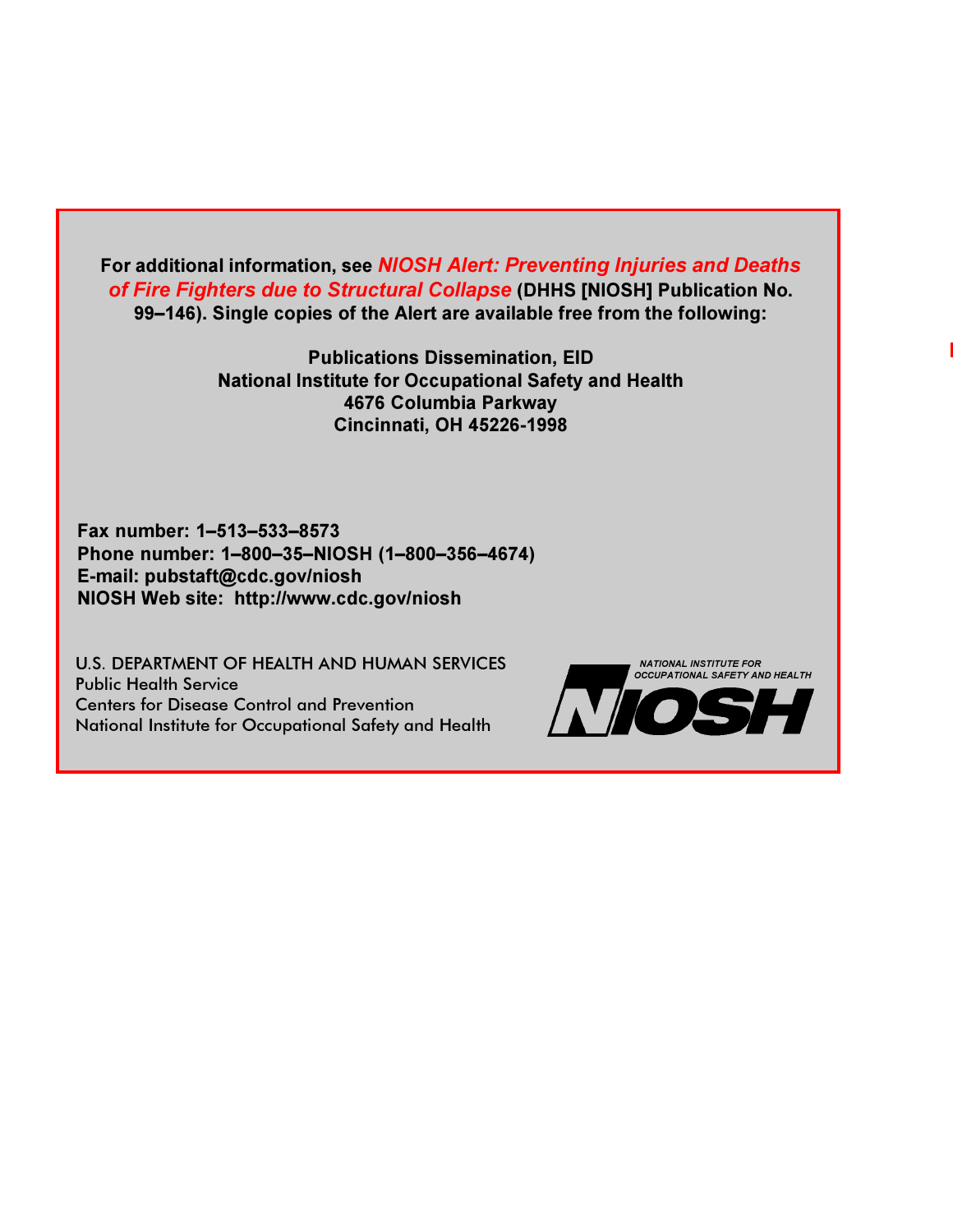**For additional information, see** *NIOSH Alert: Preventing Injuries and Deaths of Fire Fighters due to Structural Collapse* **(DHHS [NIOSH] Publication No.** 99-146). Single copies of the Alert are available free from the following:

> **Publications Dissemination, EID National Institute for Occupational Safety and Health 4676 Columbia Parkway Cincinnati, OH 45226-1998**

**Fax number: 1-513-533-8573** Phone number: 1-800-35-NIOSH (1-800-356-4674) **E-mail: pubstaft@cdc.gov/niosh NIOSH Web site: http://www.cdc.gov/niosh**

U.S. DEPARTMENT OF HEALTH AND HUMAN SERVICES Public Health Service Centers for Disease Control and Prevention National Institute for Occupational Safety and Health

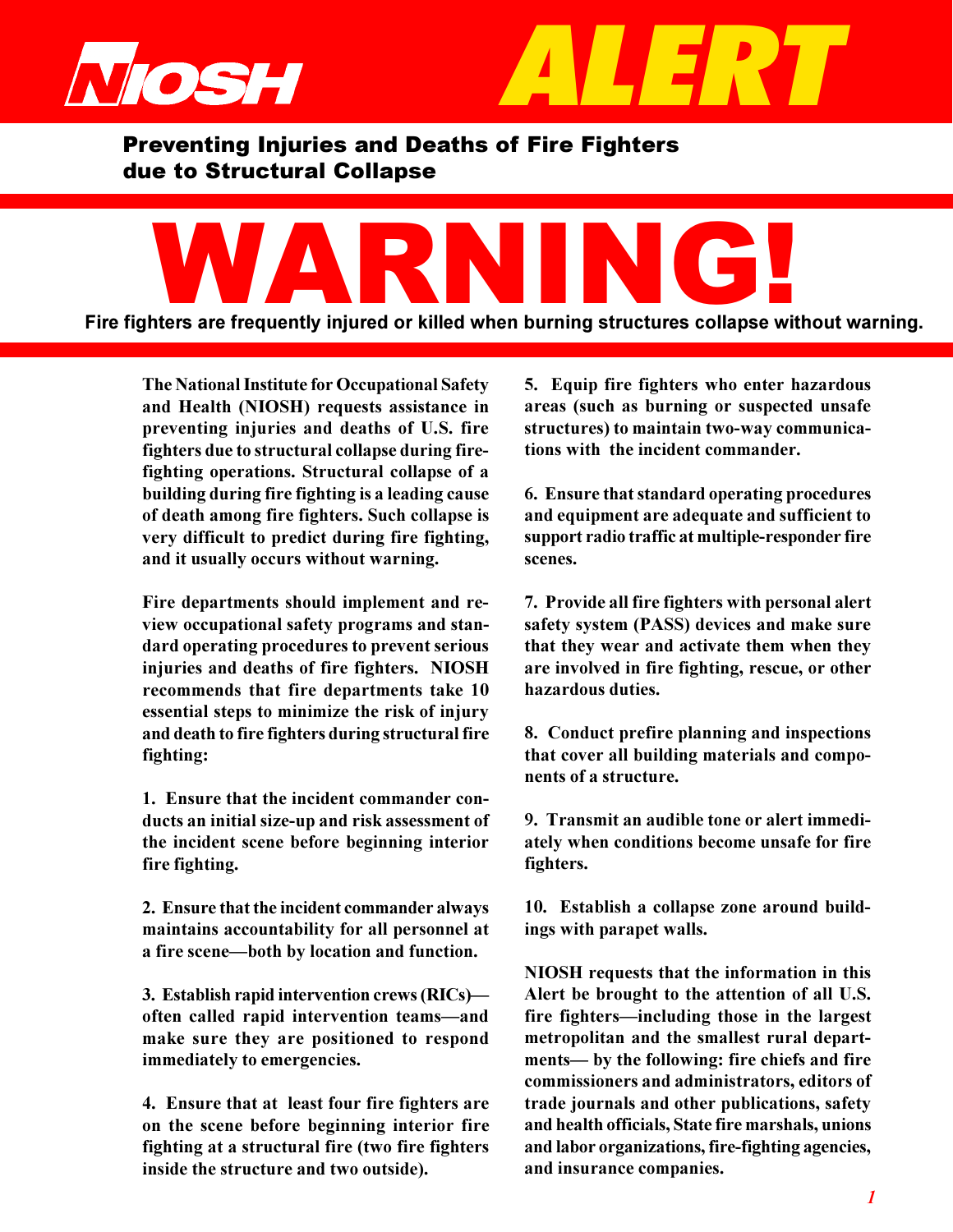



Preventing Injuries and Deaths of Fire Fighters due to Structural Collapse

## WARNING!  **Fire fighters are frequently injured or killed when burning structures collapse without warning.**

**The National Institute for Occupational Safety and Health (NIOSH) requests assistance in preventing injuries and deaths of U.S. fire fighters due to structural collapse during firefighting operations. Structural collapse of a building during fire fighting is a leading cause of death among fire fighters. Such collapse is very difficult to predict during fire fighting, and it usually occurs without warning.**

**Fire departments should implement and review occupational safety programs and standard operating procedures to prevent serious injuries and deaths of fire fighters. NIOSH recommends that fire departments take 10 essential steps to minimize the risk of injury and death to fire fighters during structural fire fighting:**

**1. Ensure that the incident commander conducts an initial size-up and risk assessment of the incident scene before beginning interior fire fighting.**

**2. Ensure that the incident commander always maintains accountability for all personnel at** a fire scene—both by location and function.

**3. Establish rapid intervention crews (RICs)** often called rapid intervention teams-and **make sure they are positioned to respond immediately to emergencies.**

**4. Ensure that at least four fire fighters are on the scene before beginning interior fire fighting at a structural fire (two fire fighters inside the structure and two outside).**

**5. Equip fire fighters who enter hazardous areas (such as burning or suspected unsafe structures) to maintain two-way communications with the incident commander.**

**6. Ensure that standard operating procedures and equipment are adequate and sufficient to support radio traffic at multiple-responder fire scenes.**

**7. Provide all fire fighters with personal alert safety system (PASS) devices and make sure that they wear and activate them when they are involved in fire fighting, rescue, or other hazardous duties.**

**8. Conduct prefire planning and inspections that cover all building materials and components of a structure.**

**9. Transmit an audible tone or alert immediately when conditions become unsafe for fire fighters.**

**10. Establish a collapse zone around buildings with parapet walls.**

**NIOSH requests that the information in this Alert be brought to the attention of all U.S.** fire fighters—including those in the largest **metropolitan and the smallest rural depart**ments— by the following: fire chiefs and fire **commissioners and administrators, editors of trade journals and other publications, safety and health officials, State fire marshals, unions and labor organizations, fire-fighting agencies, and insurance companies.**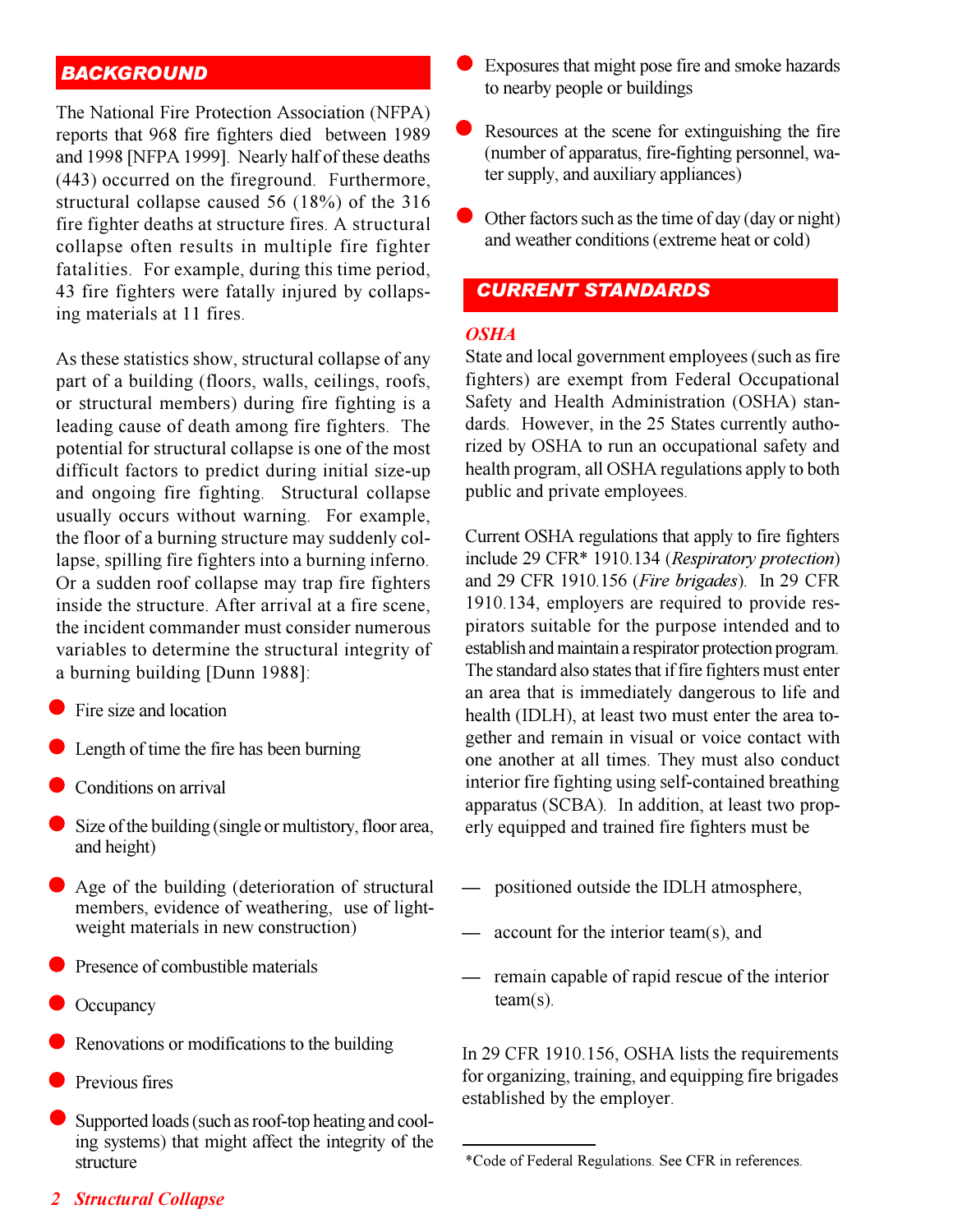#### *BACKGROUND*

The National Fire Protection Association (NFPA) reports that 968 fire fighters died between 1989 and 1998 [NFPA 1999]. Nearly half of these deaths (443) occurred on the fireground. Furthermore, structural collapse caused 56 (18%) of the 316 fire fighter deaths at structure fires. A structural collapse often results in multiple fire fighter fatalities. For example, during this time period, 43 fire fighters were fatally injured by collapsing materials at 11 fires.

As these statistics show, structural collapse of any part of a building (floors, walls, ceilings, roofs, or structural members) during fire fighting is a leading cause of death among fire fighters. The potential for structural collapse is one of the most difficult factors to predict during initial size-up and ongoing fire fighting. Structural collapse usually occurs without warning. For example, the floor of a burning structure may suddenly collapse, spilling fire fighters into a burning inferno. Or a sudden roof collapse may trap fire fighters inside the structure. After arrival at a fire scene, the incident commander must consider numerous variables to determine the structural integrity of a burning building [Dunn 1988]:

- **Fire size and location**
- Length of time the fire has been burning
- Conditions on arrival
- Size of the building (single or multistory, floor area, and height)
- Age of the building (deterioration of structural members, evidence of weathering, use of lightweight materials in new construction)
- **P** Presence of combustible materials
- $\bullet$  Occupancy
- **Renovations or modifications to the building**
- **Previous fires**
- Supported loads (such as roof-top heating and cooling systems) that might affect the integrity of the structure
- Exposures that might pose fire and smoke hazards to nearby people or buildings
- Resources at the scene for extinguishing the fire (number of apparatus, fire-fighting personnel, water supply, and auxiliary appliances)
- Other factors such as the time of day (day or night) and weather conditions (extreme heat or cold)

#### *CURRENT STANDARDS*

#### *OSHA*

State and local government employees (such as fire fighters) are exempt from Federal Occupational Safety and Health Administration (OSHA) standards. However, in the 25 States currently authorized by OSHA to run an occupational safety and health program, all OSHA regulations apply to both public and private employees.

Current OSHA regulations that apply to fire fighters include 29 CFR\* 1910.134 (*Respiratory protection*) and 29 CFR 1910.156 (*Fire brigades*). In 29 CFR 1910.134, employers are required to provide respirators suitable for the purpose intended and to establish and maintain a respirator protection program. The standard also states that if fire fighters must enter an area that is immediately dangerous to life and health (IDLH), at least two must enter the area together and remain in visual or voice contact with one another at all times. They must also conduct interior fire fighting using self-contained breathing apparatus (SCBA). In addition, at least two properly equipped and trained fire fighters must be

- positioned outside the IDLH atmosphere,
- account for the interior team(s), and
- remain capable of rapid rescue of the interior team(s).

In 29 CFR 1910.156, OSHA lists the requirements for organizing, training, and equipping fire brigades established by the employer.

#### *2 Structural Collapse*

<sup>\*</sup>Code of Federal Regulations. See CFR in references.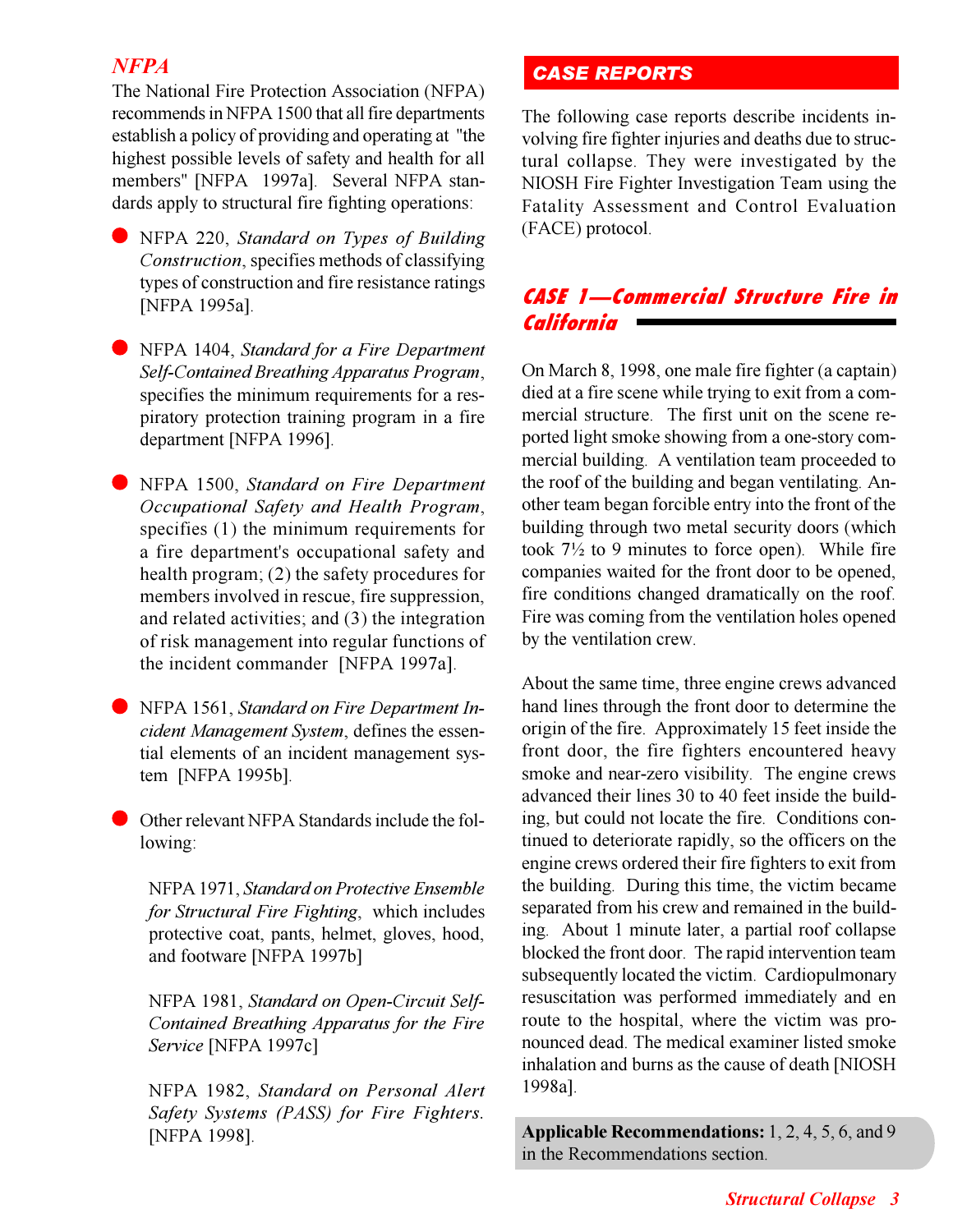#### *NFPA*

The National Fire Protection Association (NFPA) recommends in NFPA 1500 that all fire departments establish a policy of providing and operating at "the highest possible levels of safety and health for all members" [NFPA 1997a]. Several NFPA standards apply to structural fire fighting operations:

- NFPA 220, *Standard on Types of Building Construction*, specifies methods of classifying types of construction and fire resistance ratings [NFPA 1995a].
- NFPA 1404, *Standard for a Fire Department Self-Contained Breathing Apparatus Program*, specifies the minimum requirements for a respiratory protection training program in a fire department [NFPA 1996].
- NFPA 1500, *Standard on Fire Department Occupational Safety and Health Program*, specifies (1) the minimum requirements for a fire department's occupational safety and health program; (2) the safety procedures for members involved in rescue, fire suppression, and related activities; and (3) the integration of risk management into regular functions of the incident commander [NFPA 1997a].
- NFPA 1561, *Standard on Fire Department Incident Management System*, defines the essential elements of an incident management system [NFPA 1995b].

Other relevant NFPA Standards include the following:

NFPA 1971, *Standard on Protective Ensemble for Structural Fire Fighting*, which includes protective coat, pants, helmet, gloves, hood, and footware [NFPA 1997b]

NFPA 1981, *Standard on Open-Circuit Self-Contained Breathing Apparatus for the Fire Service* [NFPA 1997c]

NFPA 1982, *Standard on Personal Alert Safety Systems (PASS) for Fire Fighters.* [NFPA 1998].

#### *CASE REPORTS*

The following case reports describe incidents involving fire fighter injuries and deaths due to structural collapse. They were investigated by the NIOSH Fire Fighter Investigation Team using the Fatality Assessment and Control Evaluation (FACE) protocol.

#### **CASE 1--Commercial Structure Fire in** California

On March 8, 1998, one male fire fighter (a captain) died at a fire scene while trying to exit from a commercial structure. The first unit on the scene reported light smoke showing from a one-story commercial building. A ventilation team proceeded to the roof of the building and began ventilating. Another team began forcible entry into the front of the building through two metal security doors (which took 7½ to 9 minutes to force open). While fire companies waited for the front door to be opened, fire conditions changed dramatically on the roof. Fire was coming from the ventilation holes opened by the ventilation crew.

About the same time, three engine crews advanced hand lines through the front door to determine the origin of the fire. Approximately 15 feet inside the front door, the fire fighters encountered heavy smoke and near-zero visibility. The engine crews advanced their lines 30 to 40 feet inside the building, but could not locate the fire. Conditions continued to deteriorate rapidly, so the officers on the engine crews ordered their fire fighters to exit from the building. During this time, the victim became separated from his crew and remained in the building. About 1 minute later, a partial roof collapse blocked the front door. The rapid intervention team subsequently located the victim. Cardiopulmonary resuscitation was performed immediately and en route to the hospital, where the victim was pronounced dead. The medical examiner listed smoke inhalation and burns as the cause of death [NIOSH 1998a].

**Applicable Recommendations:** 1, 2, 4, 5, 6, and 9 in the Recommendations section.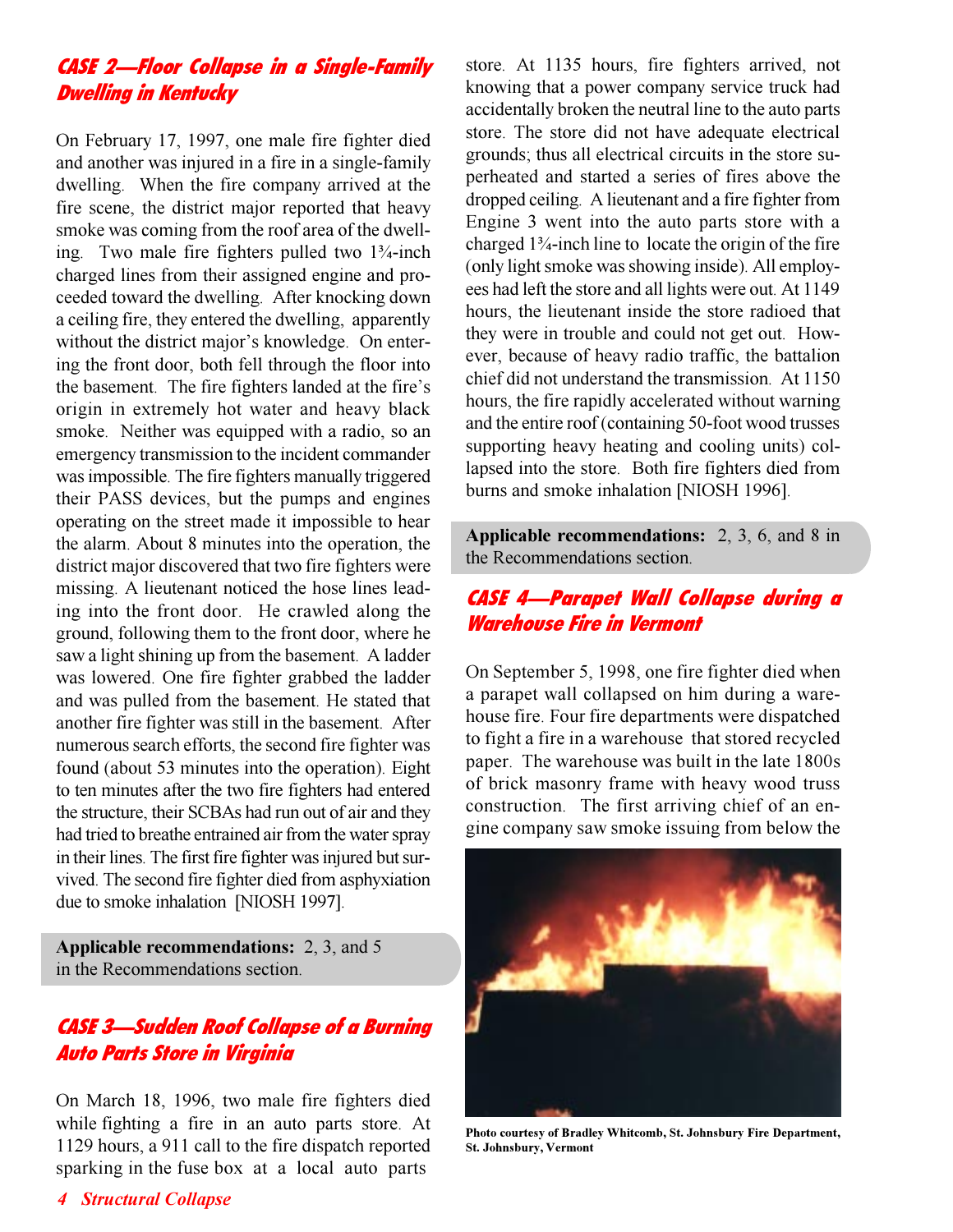#### **CASE 2-Floor Collapse in a Single-Family** Dwelling in Kentucky

On February 17, 1997, one male fire fighter died and another was injured in a fire in a single-family dwelling. When the fire company arrived at the fire scene, the district major reported that heavy smoke was coming from the roof area of the dwelling. Two male fire fighters pulled two 1¾-inch charged lines from their assigned engine and proceeded toward the dwelling. After knocking down a ceiling fire, they entered the dwelling, apparently without the district major's knowledge. On entering the front door, both fell through the floor into the basement. The fire fighters landed at the fire's origin in extremely hot water and heavy black smoke. Neither was equipped with a radio, so an emergency transmission to the incident commander was impossible. The fire fighters manually triggered their PASS devices, but the pumps and engines operating on the street made it impossible to hear the alarm. About 8 minutes into the operation, the district major discovered that two fire fighters were missing. A lieutenant noticed the hose lines leading into the front door. He crawled along the ground, following them to the front door, where he saw a light shining up from the basement. A ladder was lowered. One fire fighter grabbed the ladder and was pulled from the basement. He stated that another fire fighter was still in the basement. After numerous search efforts, the second fire fighter was found (about 53 minutes into the operation). Eight to ten minutes after the two fire fighters had entered the structure, their SCBAs had run out of air and they had tried to breathe entrained air from the water spray in their lines. The first fire fighter was injured but survived. The second fire fighter died from asphyxiation due to smoke inhalation [NIOSH 1997].

**Applicable recommendations:** 2, 3, and 5 in the Recommendations section.

#### **CASE 3-Sudden Roof Collanse of a Burning** Auto Parts Store in Virginia

On March 18, 1996, two male fire fighters died while fighting a fire in an auto parts store. At 1129 hours, a 911 call to the fire dispatch reported sparking in the fuse box at a local auto parts

store. At 1135 hours, fire fighters arrived, not knowing that a power company service truck had accidentally broken the neutral line to the auto parts store. The store did not have adequate electrical grounds; thus all electrical circuits in the store superheated and started a series of fires above the dropped ceiling. A lieutenant and a fire fighter from Engine 3 went into the auto parts store with a charged 1¾-inch line to locate the origin of the fire (only light smoke was showing inside). All employees had left the store and all lights were out. At 1149 hours, the lieutenant inside the store radioed that they were in trouble and could not get out. However, because of heavy radio traffic, the battalion chief did not understand the transmission. At 1150 hours, the fire rapidly accelerated without warning and the entire roof (containing 50-foot wood trusses supporting heavy heating and cooling units) collapsed into the store. Both fire fighters died from burns and smoke inhalation [NIOSH 1996].

**Applicable recommendations:** 2, 3, 6, and 8 in the Recommendations section.

#### **CASE 4-Parapet Wall Collapse during a** Warehouse Fire in Vermont

On September 5, 1998, one fire fighter died when a parapet wall collapsed on him during a warehouse fire. Four fire departments were dispatched to fight a fire in a warehouse that stored recycled paper. The warehouse was built in the late 1800s of brick masonry frame with heavy wood truss construction. The first arriving chief of an engine company saw smoke issuing from below the



**Photo courtesy of Bradley Whitcomb, St. Johnsbury Fire Department, St. Johnsbury, Vermont**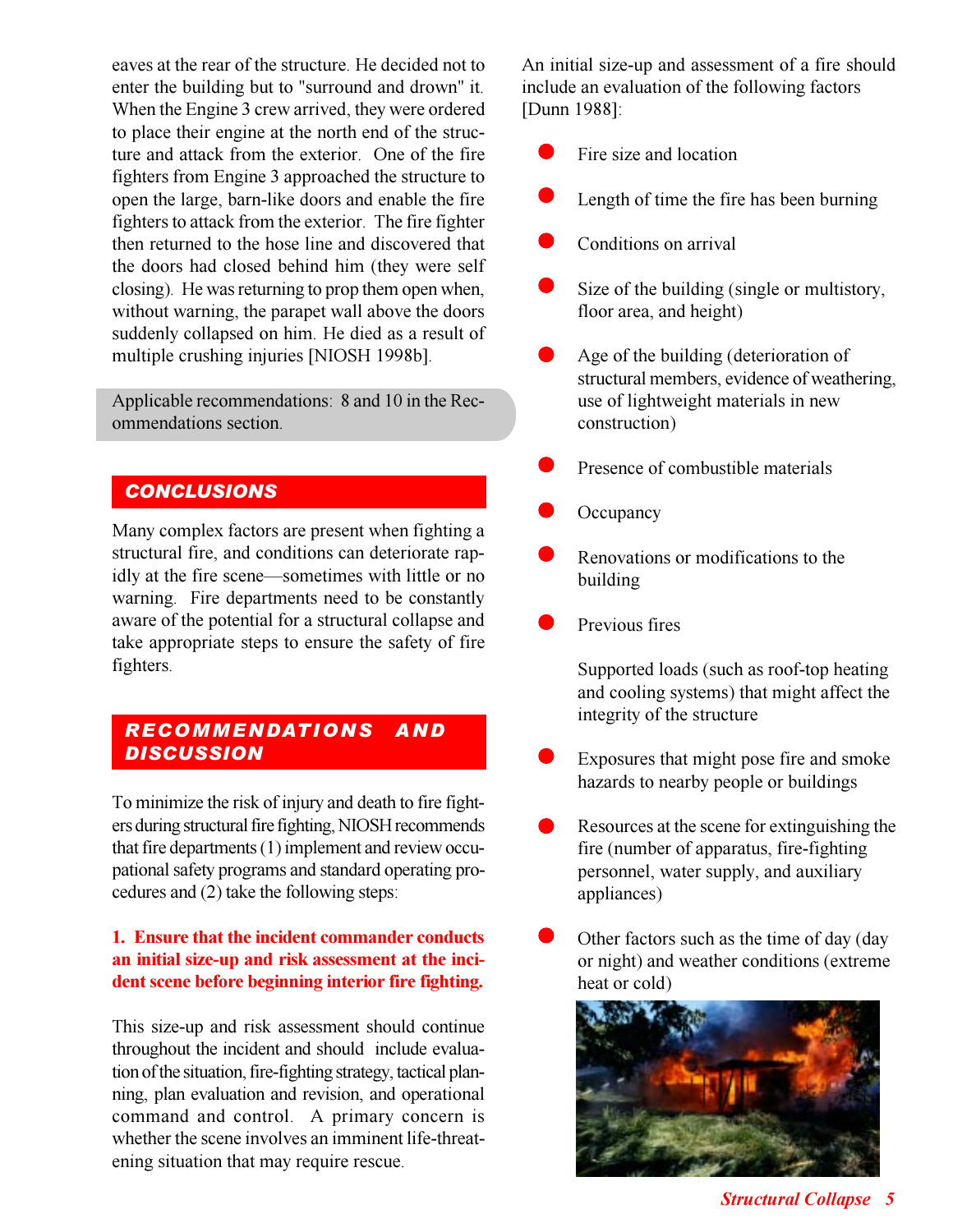eaves at the rear of the structure. He decided not to enter the building but to "surround and drown" it. When the Engine 3 crew arrived, they were ordered to place their engine at the north end of the structure and attack from the exterior. One of the fire fighters from Engine 3 approached the structure to open the large, barn-like doors and enable the fire fighters to attack from the exterior. The fire fighter then returned to the hose line and discovered that the doors had closed behind him (they were self closing). He was returning to prop them open when, without warning, the parapet wall above the doors suddenly collapsed on him. He died as a result of multiple crushing injuries [NIOSH 1998b].

Applicable recommendations: 8 and 10 in the Recommendations section.

#### *CONCLUSIONS*

Many complex factors are present when fighting a structural fire, and conditions can deteriorate rapidly at the fire scene—sometimes with little or no warning. Fire departments need to be constantly aware of the potential for a structural collapse and take appropriate steps to ensure the safety of fire fighters.

#### *RECOMMENDAT IONS AND DISCUSSION*

To minimize the risk of injury and death to fire fighters during structural fire fighting, NIOSH recommends that fire departments (1) implement and review occupational safety programs and standard operating procedures and (2) take the following steps:

#### **1. Ensure that the incident commander conducts an initial size-up and risk assessment at the incident scene before beginning interior fire fighting.**

This size-up and risk assessment should continue throughout the incident and should include evaluation of the situation, fire-fighting strategy, tactical planning, plan evaluation and revision, and operational command and control. A primary concern is whether the scene involves an imminent life-threatening situation that may require rescue.

An initial size-up and assessment of a fire should include an evaluation of the following factors [Dunn 1988]:

- Fire size and location
- Length of time the fire has been burning
- Conditions on arrival
- Size of the building (single or multistory, floor area, and height)
- Age of the building (deterioration of structural members, evidence of weathering, use of lightweight materials in new construction)
- Presence of combustible materials
- **Occupancy**
- Renovations or modifications to the building
- Previous fires

Supported loads (such as roof-top heating and cooling systems) that might affect the integrity of the structure

- Exposures that might pose fire and smoke hazards to nearby people or buildings
- Resources at the scene for extinguishing the fire (number of apparatus, fire-fighting personnel, water supply, and auxiliary appliances)
- Other factors such as the time of day (day or night) and weather conditions (extreme heat or cold)

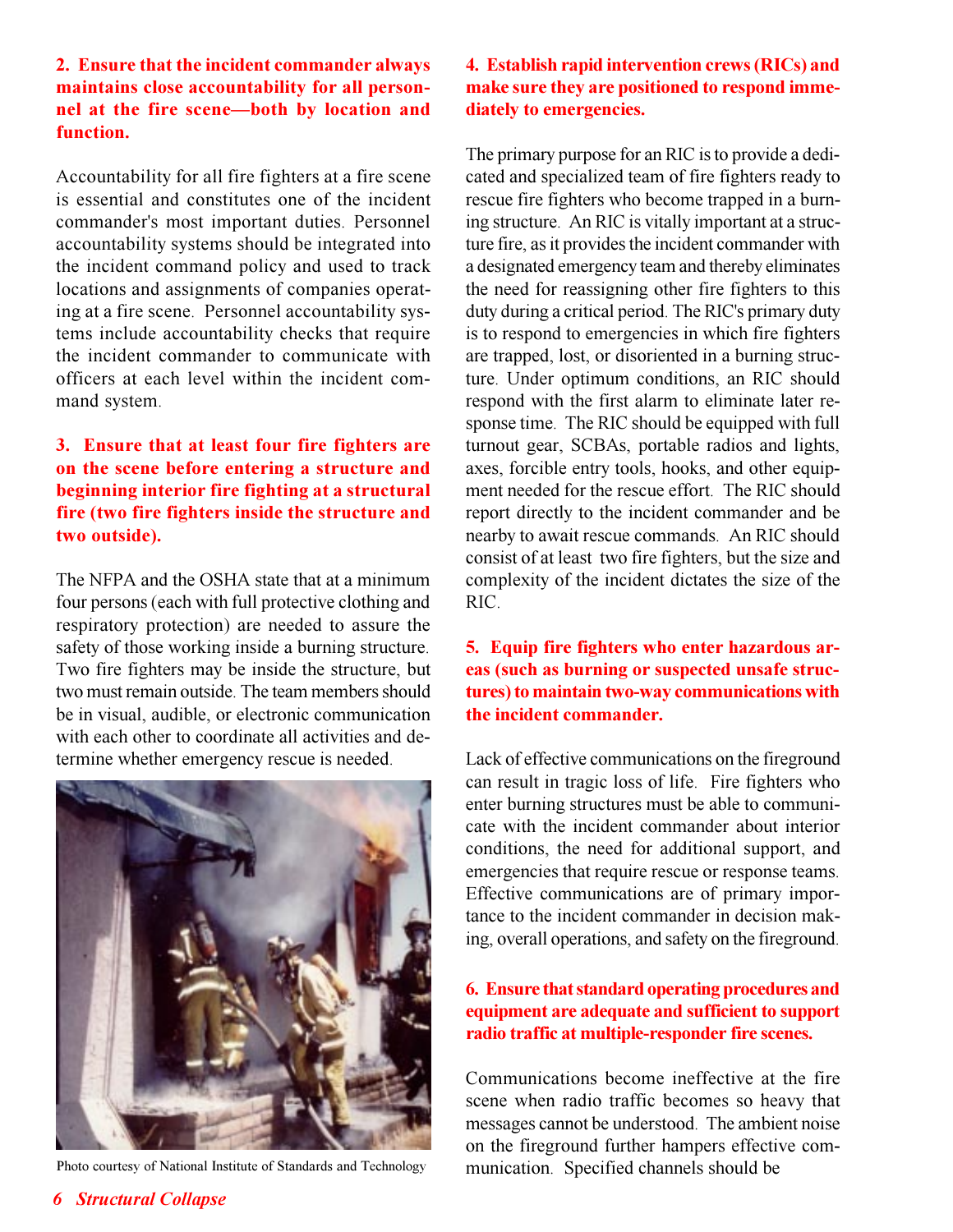#### **2. Ensure that the incident commander always maintains close accountability for all person**nel at the fire scene—both by location and **function.**

Accountability for all fire fighters at a fire scene is essential and constitutes one of the incident commander's most important duties. Personnel accountability systems should be integrated into the incident command policy and used to track locations and assignments of companies operating at a fire scene. Personnel accountability systems include accountability checks that require the incident commander to communicate with officers at each level within the incident command system.

#### **3. Ensure that at least four fire fighters are on the scene before entering a structure and beginning interior fire fighting at a structural fire (two fire fighters inside the structure and two outside).**

The NFPA and the OSHA state that at a minimum four persons (each with full protective clothing and respiratory protection) are needed to assure the safety of those working inside a burning structure. Two fire fighters may be inside the structure, but two must remain outside. The team members should be in visual, audible, or electronic communication with each other to coordinate all activities and determine whether emergency rescue is needed.



#### **4. Establish rapid intervention crews (RICs) and make sure they are positioned to respond immediately to emergencies.**

The primary purpose for an RIC is to provide a dedicated and specialized team of fire fighters ready to rescue fire fighters who become trapped in a burning structure. An RIC is vitally important at a structure fire, as it provides the incident commander with a designated emergency team and thereby eliminates the need for reassigning other fire fighters to this duty during a critical period. The RIC's primary duty is to respond to emergencies in which fire fighters are trapped, lost, or disoriented in a burning structure. Under optimum conditions, an RIC should respond with the first alarm to eliminate later response time. The RIC should be equipped with full turnout gear, SCBAs, portable radios and lights, axes, forcible entry tools, hooks, and other equipment needed for the rescue effort. The RIC should report directly to the incident commander and be nearby to await rescue commands. An RIC should consist of at least two fire fighters, but the size and complexity of the incident dictates the size of the RIC.

#### **5. Equip fire fighters who enter hazardous areas (such as burning or suspected unsafe structures) to maintain two-way communications with the incident commander.**

Lack of effective communications on the fireground can result in tragic loss of life. Fire fighters who enter burning structures must be able to communicate with the incident commander about interior conditions, the need for additional support, and emergencies that require rescue or response teams. Effective communications are of primary importance to the incident commander in decision making, overall operations, and safety on the fireground.

#### **6. Ensure that standard operating procedures and equipment are adequate and sufficient to support radio traffic at multiple-responder fire scenes.**

Communications become ineffective at the fire scene when radio traffic becomes so heavy that messages cannot be understood. The ambient noise on the fireground further hampers effective com-Photo courtesy of National Institute of Standards and Technology munication. Specified channels should be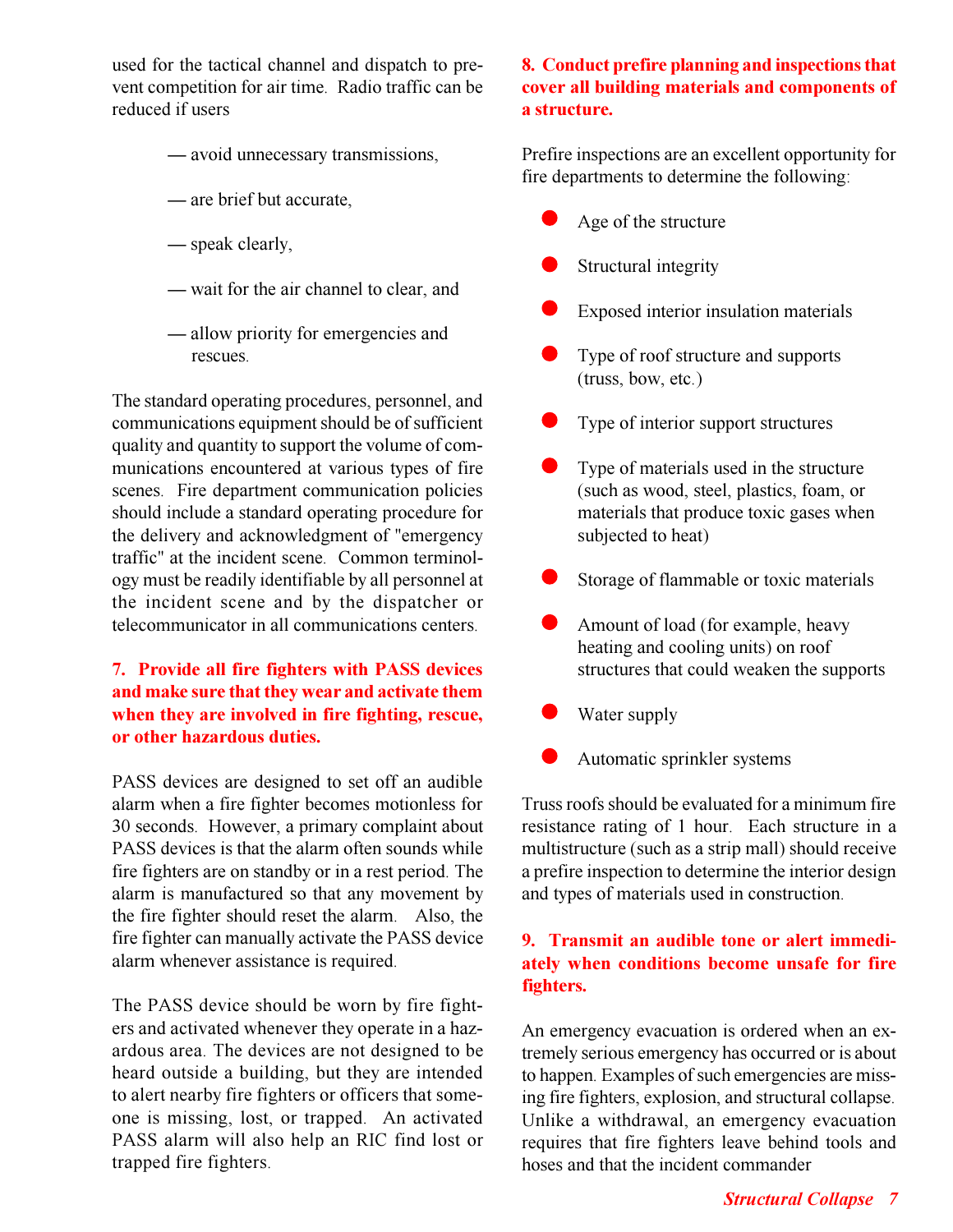used for the tactical channel and dispatch to prevent competition for air time. Radio traffic can be reduced if users

- avoid unnecessary transmissions,
- are brief but accurate,
- speak clearly,
- wait for the air channel to clear, and
- allow priority for emergencies and rescues.

The standard operating procedures, personnel, and communications equipment should be of sufficient quality and quantity to support the volume of communications encountered at various types of fire scenes. Fire department communication policies should include a standard operating procedure for the delivery and acknowledgment of "emergency traffic" at the incident scene. Common terminology must be readily identifiable by all personnel at the incident scene and by the dispatcher or telecommunicator in all communications centers.

#### **7. Provide all fire fighters with PASS devices and make sure that they wear and activate them when they are involved in fire fighting, rescue, or other hazardous duties.**

PASS devices are designed to set off an audible alarm when a fire fighter becomes motionless for 30 seconds. However, a primary complaint about PASS devices is that the alarm often sounds while fire fighters are on standby or in a rest period. The alarm is manufactured so that any movement by the fire fighter should reset the alarm. Also, the fire fighter can manually activate the PASS device alarm whenever assistance is required.

The PASS device should be worn by fire fighters and activated whenever they operate in a hazardous area. The devices are not designed to be heard outside a building, but they are intended to alert nearby fire fighters or officers that someone is missing, lost, or trapped. An activated PASS alarm will also help an RIC find lost or trapped fire fighters.

#### **8. Conduct prefire planning and inspections that cover all building materials and components of a structure.**

Prefire inspections are an excellent opportunity for fire departments to determine the following:

- Age of the structure
- Structural integrity
- Exposed interior insulation materials
- Type of roof structure and supports (truss, bow, etc.)
- Type of interior support structures
- Type of materials used in the structure (such as wood, steel, plastics, foam, or materials that produce toxic gases when subjected to heat)
- Storage of flammable or toxic materials
- Amount of load (for example, heavy heating and cooling units) on roof structures that could weaken the supports
- Water supply
- Automatic sprinkler systems

Truss roofs should be evaluated for a minimum fire resistance rating of 1 hour. Each structure in a multistructure (such as a strip mall) should receive a prefire inspection to determine the interior design and types of materials used in construction.

#### **9. Transmit an audible tone or alert immediately when conditions become unsafe for fire fighters.**

An emergency evacuation is ordered when an extremely serious emergency has occurred or is about to happen. Examples of such emergencies are missing fire fighters, explosion, and structural collapse. Unlike a withdrawal, an emergency evacuation requires that fire fighters leave behind tools and hoses and that the incident commander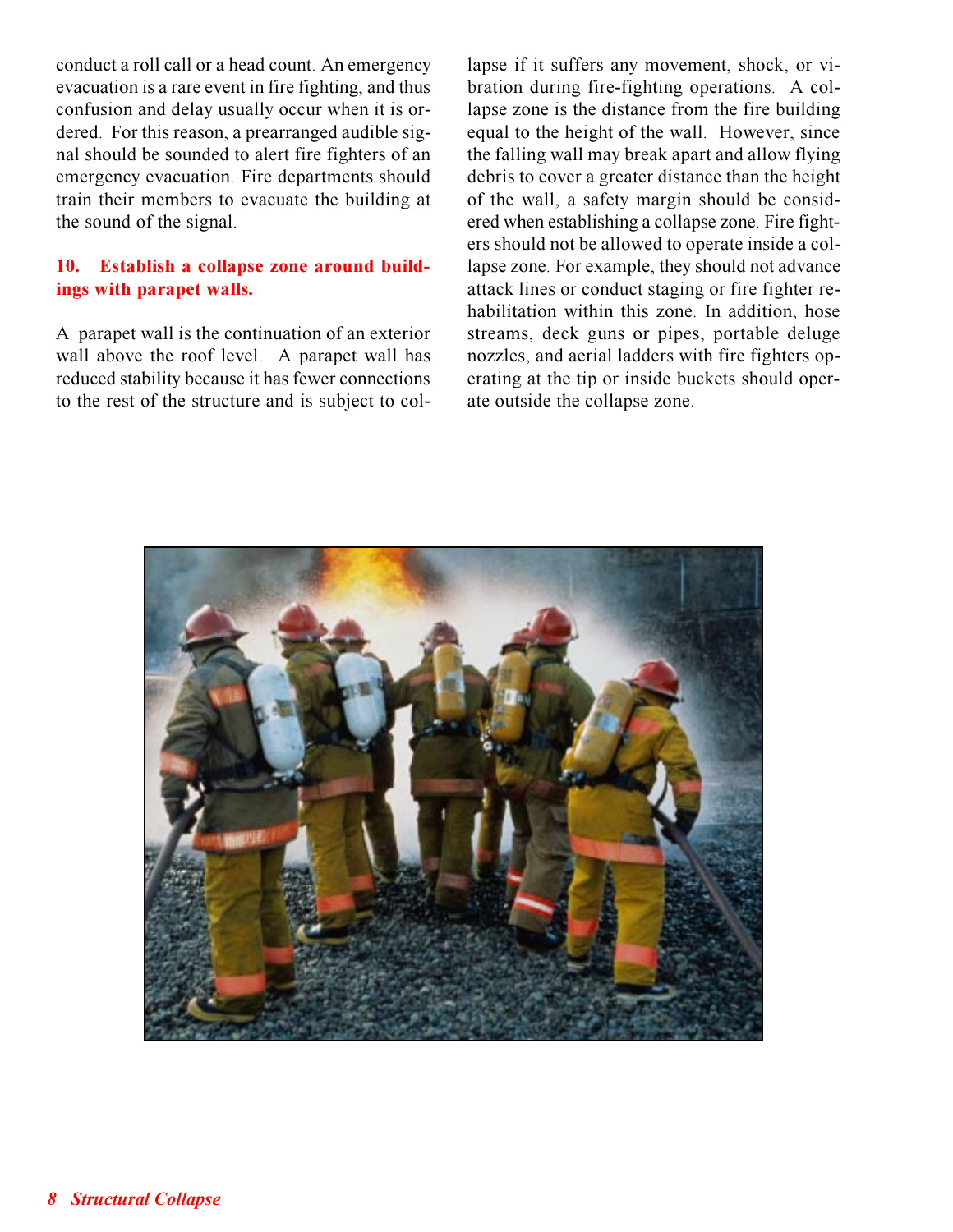conduct a roll call or a head count. An emergency evacuation is a rare event in fire fighting, and thus confusion and delay usually occur when it is ordered. For this reason, a prearranged audible signal should be sounded to alert fire fighters of an emergency evacuation. Fire departments should train their members to evacuate the building at the sound of the signal.

#### **10. Establish a collapse zone around buildings with parapet walls.**

A parapet wall is the continuation of an exterior wall above the roof level. A parapet wall has reduced stability because it has fewer connections to the rest of the structure and is subject to col-

lapse if it suffers any movement, shock, or vibration during fire-fighting operations. A collapse zone is the distance from the fire building equal to the height of the wall. However, since the falling wall may break apart and allow flying debris to cover a greater distance than the height of the wall, a safety margin should be considered when establishing a collapse zone. Fire fighters should not be allowed to operate inside a collapse zone. For example, they should not advance attack lines or conduct staging or fire fighter rehabilitation within this zone. In addition, hose streams, deck guns or pipes, portable deluge nozzles, and aerial ladders with fire fighters operating at the tip or inside buckets should operate outside the collapse zone.

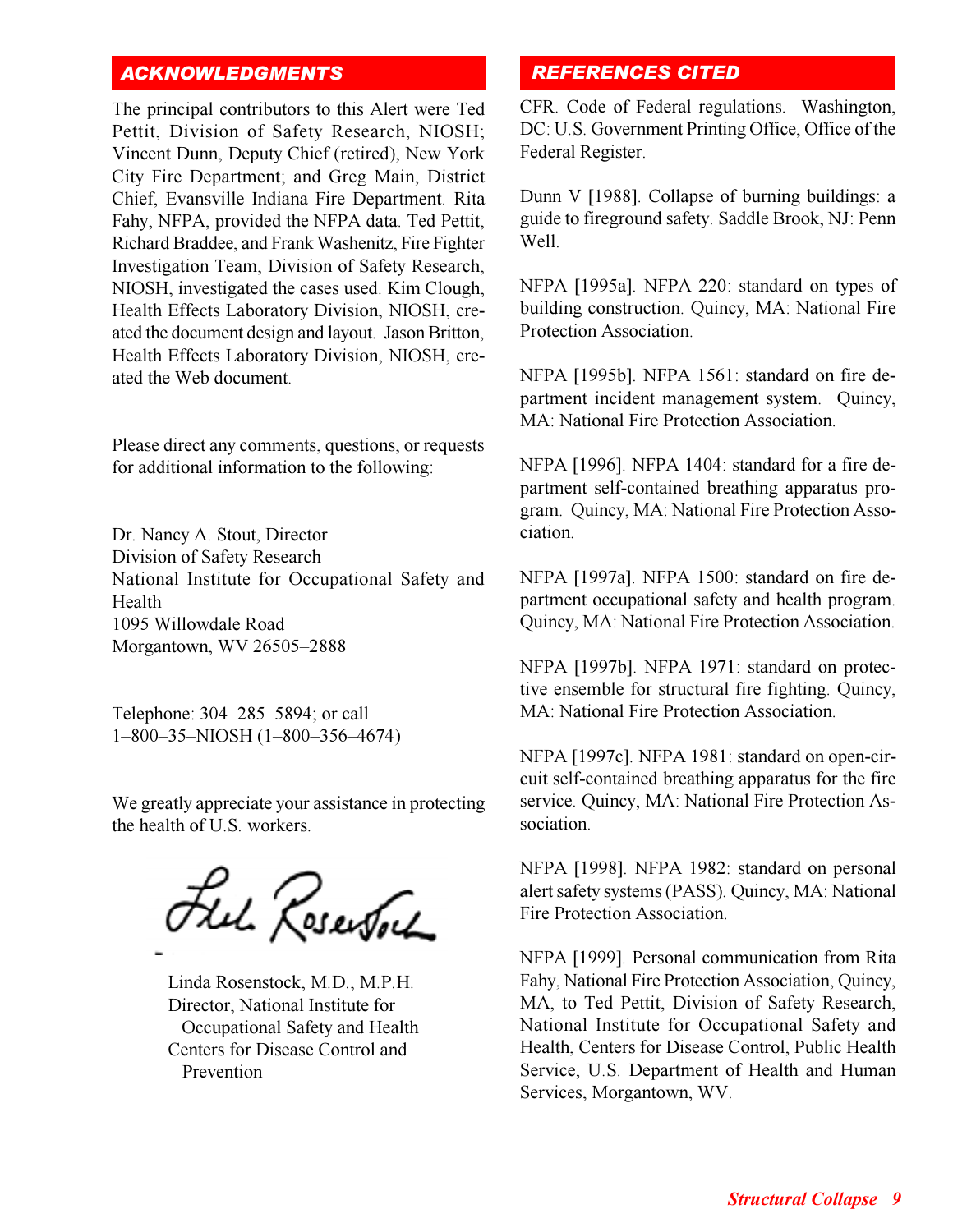#### *ACKNOWLEDGMENTS REFERENCES CITED*

The principal contributors to this Alert were Ted Pettit, Division of Safety Research, NIOSH; Vincent Dunn, Deputy Chief (retired), New York City Fire Department; and Greg Main, District Chief, Evansville Indiana Fire Department. Rita Fahy, NFPA, provided the NFPA data. Ted Pettit, Richard Braddee, and Frank Washenitz, Fire Fighter Investigation Team, Division of Safety Research, NIOSH, investigated the cases used. Kim Clough, Health Effects Laboratory Division, NIOSH, created the document design and layout. Jason Britton, Health Effects Laboratory Division, NIOSH, created the Web document.

Please direct any comments, questions, or requests for additional information to the following:

Dr. Nancy A. Stout, Director Division of Safety Research National Institute for Occupational Safety and Health 1095 Willowdale Road Morgantown, WV  $26505-2888$ 

Telephone: 304–285–5894; or call 1-800-35-NIOSH (1-800-356-4674)

We greatly appreciate your assistance in protecting the health of U.S. workers.

Frel Reserve

Linda Rosenstock, M.D., M.P.H. Director, National Institute for Occupational Safety and Health Centers for Disease Control and Prevention

CFR. Code of Federal regulations. Washington, DC: U.S. Government Printing Office, Office of the Federal Register.

Dunn V [1988]. Collapse of burning buildings: a guide to fireground safety. Saddle Brook, NJ: Penn Well.

NFPA [1995a]. NFPA 220: standard on types of building construction. Quincy, MA: National Fire Protection Association.

NFPA [1995b]. NFPA 1561: standard on fire department incident management system. Quincy, MA: National Fire Protection Association.

NFPA [1996]. NFPA 1404: standard for a fire department self-contained breathing apparatus program. Quincy, MA: National Fire Protection Association.

NFPA [1997a]. NFPA 1500: standard on fire department occupational safety and health program. Quincy, MA: National Fire Protection Association.

NFPA [1997b]. NFPA 1971: standard on protective ensemble for structural fire fighting. Quincy, MA: National Fire Protection Association.

NFPA [1997c]. NFPA 1981: standard on open-circuit self-contained breathing apparatus for the fire service. Quincy, MA: National Fire Protection Association.

NFPA [1998]. NFPA 1982: standard on personal alert safety systems (PASS). Quincy, MA: National Fire Protection Association.

NFPA [1999]. Personal communication from Rita Fahy, National Fire Protection Association, Quincy, MA, to Ted Pettit, Division of Safety Research, National Institute for Occupational Safety and Health, Centers for Disease Control, Public Health Service, U.S. Department of Health and Human Services, Morgantown, WV.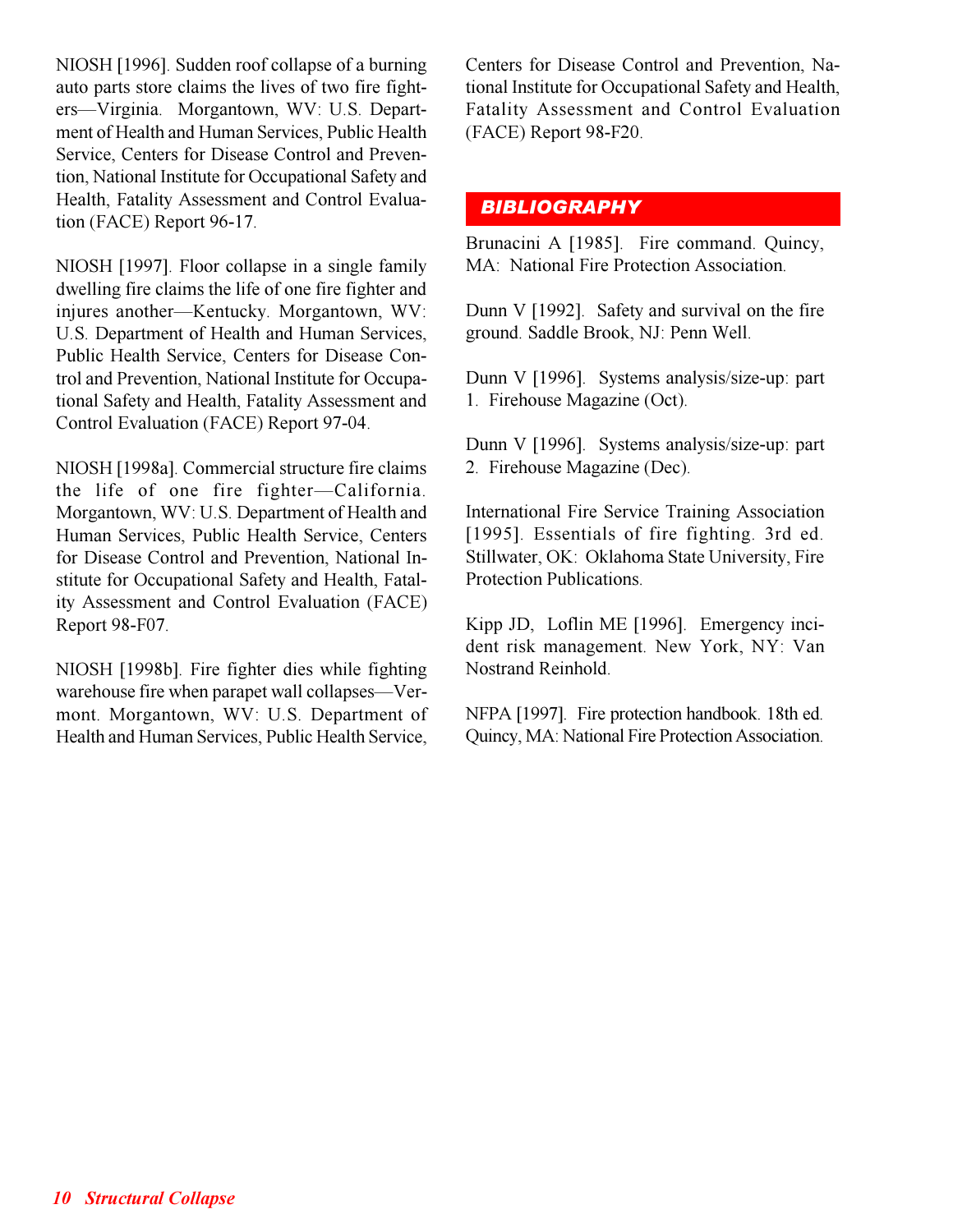NIOSH [1996]. Sudden roof collapse of a burning auto parts store claims the lives of two fire fighters-Virginia. Morgantown, WV: U.S. Department of Health and Human Services, Public Health Service, Centers for Disease Control and Prevention, National Institute for Occupational Safety and Health, Fatality Assessment and Control Evaluation (FACE) Report 96-17.

NIOSH [1997]. Floor collapse in a single family dwelling fire claims the life of one fire fighter and injures another—Kentucky. Morgantown, WV: U.S. Department of Health and Human Services, Public Health Service, Centers for Disease Control and Prevention, National Institute for Occupational Safety and Health, Fatality Assessment and Control Evaluation (FACE) Report 97-04.

NIOSH [1998a]. Commercial structure fire claims the life of one fire fighter-California. Morgantown, WV: U.S. Department of Health and Human Services, Public Health Service, Centers for Disease Control and Prevention, National Institute for Occupational Safety and Health, Fatality Assessment and Control Evaluation (FACE) Report 98-F07.

NIOSH [1998b]. Fire fighter dies while fighting warehouse fire when parapet wall collapses—Vermont. Morgantown, WV: U.S. Department of Health and Human Services, Public Health Service, Centers for Disease Control and Prevention, National Institute for Occupational Safety and Health, Fatality Assessment and Control Evaluation (FACE) Report 98-F20.

#### *BIBLIOGRAPHY*

Brunacini A [1985]. Fire command. Quincy, MA: National Fire Protection Association.

Dunn V [1992]. Safety and survival on the fire ground. Saddle Brook, NJ: Penn Well.

Dunn V [1996]. Systems analysis/size-up: part 1. Firehouse Magazine (Oct).

Dunn V [1996]. Systems analysis/size-up: part 2. Firehouse Magazine (Dec).

International Fire Service Training Association [1995]. Essentials of fire fighting. 3rd ed. Stillwater, OK: Oklahoma State University, Fire Protection Publications.

Kipp JD, Loflin ME [1996]. Emergency incident risk management. New York, NY: Van Nostrand Reinhold.

NFPA [1997]. Fire protection handbook. 18th ed. Quincy, MA: National Fire Protection Association.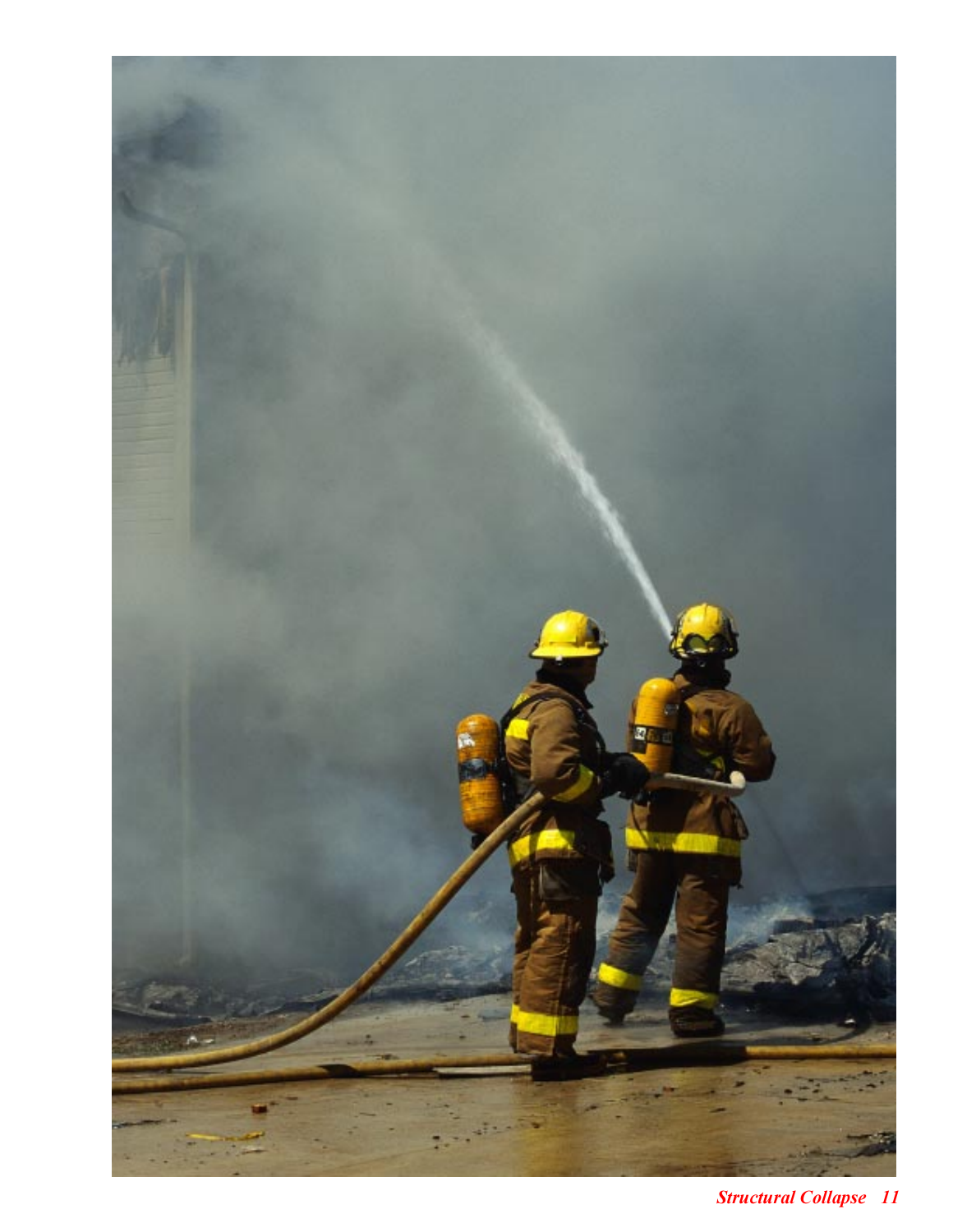